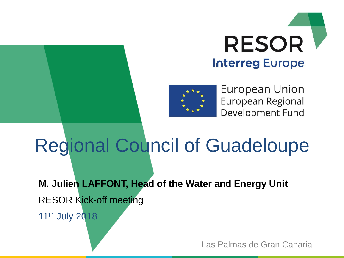



European Union European Regional Development Fund

# Regional Council of Guadeloupe

**M. Julien LAFFONT, Head of the Water and Energy Unit** RESOR Kick-off meeting 11th July 2018

Las Palmas de Gran Canaria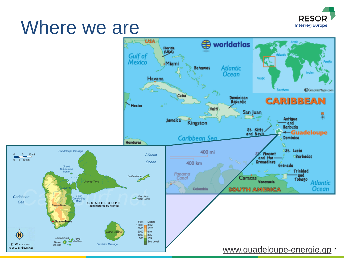

### Where we are

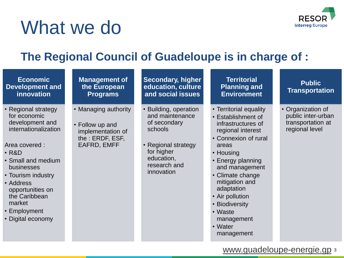

# What we do

### **The Regional Council of Guadeloupe is in charge of :**

| <b>Economic</b><br><b>Development and</b><br>innovation                                                                                                                                                                                                                    | <b>Management of</b><br>the European<br><b>Programs</b>                                         | <b>Secondary, higher</b><br>education, culture<br>and social issues                                                                                  | <b>Territorial</b><br><b>Planning and</b><br><b>Environment</b>                                                                                                                                                                                                                                                         | <b>Public</b><br><b>Transportation</b>                                         |  |  |
|----------------------------------------------------------------------------------------------------------------------------------------------------------------------------------------------------------------------------------------------------------------------------|-------------------------------------------------------------------------------------------------|------------------------------------------------------------------------------------------------------------------------------------------------------|-------------------------------------------------------------------------------------------------------------------------------------------------------------------------------------------------------------------------------------------------------------------------------------------------------------------------|--------------------------------------------------------------------------------|--|--|
| • Regional strategy<br>for economic<br>development and<br>internationalization<br>Area covered :<br>$\cdot$ R&D<br>• Small and medium<br>businesses<br>• Tourism industry<br>• Address<br>opportunities on<br>the Caribbean<br>market<br>• Employment<br>• Digital economy | • Managing authority<br>• Follow up and<br>implementation of<br>the : ERDF, ESF,<br>EAFRD, EMFF | • Building, operation<br>and maintenance<br>of secondary<br>schools<br>• Regional strategy<br>for higher<br>education,<br>research and<br>innovation | • Territorial equality<br>• Establishment of<br>infrastructures of<br>regional interest<br>• Connexion of rural<br>areas<br>• Housing<br>• Energy planning<br>and management<br>• Climate change<br>mitigation and<br>adaptation<br>• Air pollution<br>• Biodiversity<br>• Waste<br>management<br>• Water<br>management | • Organization of<br>public inter-urban<br>transportation at<br>regional level |  |  |
| www.guadeloupe-energie.gp 3                                                                                                                                                                                                                                                |                                                                                                 |                                                                                                                                                      |                                                                                                                                                                                                                                                                                                                         |                                                                                |  |  |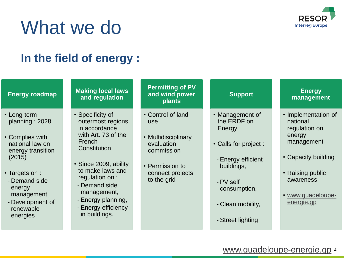

## What we do

### **In the field of energy :**

| <b>Energy roadmap</b>                                                                                                                                                                                      | <b>Making local laws</b><br>and regulation                                                                                                                                                                                                                            | <b>Permitting of PV</b><br>and wind power<br>plants                                                                               | <b>Support</b>                                                                                                                                                               | <b>Energy</b><br>management                                                                                                                                         |
|------------------------------------------------------------------------------------------------------------------------------------------------------------------------------------------------------------|-----------------------------------------------------------------------------------------------------------------------------------------------------------------------------------------------------------------------------------------------------------------------|-----------------------------------------------------------------------------------------------------------------------------------|------------------------------------------------------------------------------------------------------------------------------------------------------------------------------|---------------------------------------------------------------------------------------------------------------------------------------------------------------------|
| • Long-term<br>planning: 2028<br>• Complies with<br>national law on<br>energy transition<br>(2015)<br>• Targets on :<br>- Demand side<br>energy<br>management<br>- Development of<br>renewable<br>energies | • Specificity of<br>outermost regions<br>in accordance<br>with Art. 73 of the<br>French<br>Constitution<br>• Since 2009, ability<br>to make laws and<br>regulation on :<br>- Demand side<br>management,<br>- Energy planning,<br>- Energy efficiency<br>in buildings. | • Control of land<br>use<br>• Multidisciplinary<br>evaluation<br>commission<br>• Permission to<br>connect projects<br>to the grid | • Management of<br>the ERDF on<br>Energy<br>• Calls for project :<br>- Energy efficient<br>buildings,<br>- PV self<br>consumption,<br>- Clean mobility,<br>- Street lighting | • Implementation of<br>national<br>regulation on<br>energy<br>management<br>• Capacity building<br>• Raising public<br>awareness<br>• www.guadeloupe-<br>energie.gp |

[www.guadeloupe-energie.gp](http://www.guadeloupe-energie.gp/) 4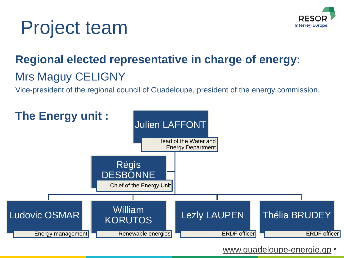



### **Regional elected representative in charge of energy:** Mrs Maguy CELIGNY

Vice-president of the regional council of Guadeloupe, president of the energy commission.



[www.guadeloupe-energie.gp](http://www.guadeloupe-energie.gp/) 5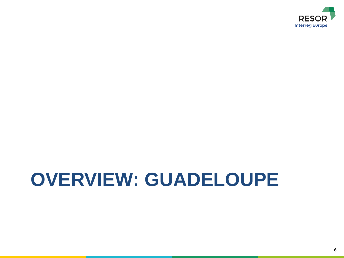

# **OVERVIEW: GUADELOUPE**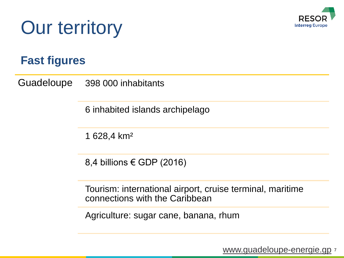

# Our territory

### **Fast figures**

Guadeloupe 398 000 inhabitants

6 inhabited islands archipelago

1 628,4 km²

8,4 billions € GDP (2016)

Tourism: international airport, cruise terminal, maritime connections with the Caribbean

Agriculture: sugar cane, banana, rhum

[www.guadeloupe-energie.gp](http://www.guadeloupe-energie.gp/) z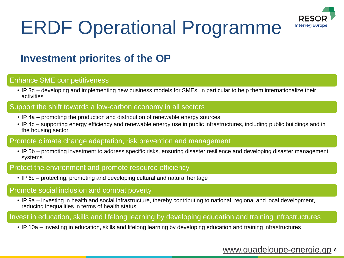

# ERDF Operational Programme

### **Investment priorites of the OP**

#### Enhance SME competitiveness

• IP 3d – developing and implementing new business models for SMEs, in particular to help them internationalize their activities

#### Support the shift towards a low-carbon economy in all sectors

- IP 4a promoting the production and distribution of renewable energy sources
- IP 4c supporting energy efficiency and renewable energy use in public infrastructures, including public buildings and in the housing sector

#### Promote climate change adaptation, risk prevention and management

• IP 5b – promoting investment to address specific risks, ensuring disaster resilience and developing disaster management systems

#### Protect the environment and promote resource efficiency

• IP 6c – protecting, promoting and developing cultural and natural heritage

#### Promote social inclusion and combat poverty

• IP 9a – investing in health and social infrastructure, thereby contributing to national, regional and local development, reducing inequalities in terms of health status

#### Invest in education, skills and lifelong learning by developing education and training infrastructures

• IP 10a – investing in education, skills and lifelong learning by developing education and training infrastructures

#### [www.guadeloupe-energie.gp](http://www.guadeloupe-energie.gp/) &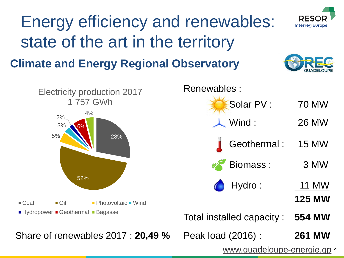

[www.guadeloupe-energie.gp](http://www.guadeloupe-energie.gp/) 9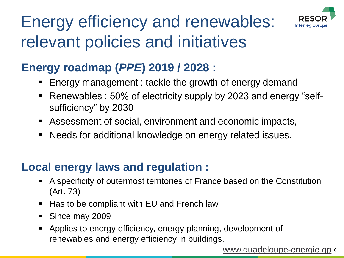

### Energy efficiency and renewables: relevant policies and initiatives

### **Energy roadmap (***PPE***) 2019 / 2028 :**

- Energy management : tackle the growth of energy demand
- Renewables : 50% of electricity supply by 2023 and energy "selfsufficiency" by 2030
- Assessment of social, environment and economic impacts,
- Needs for additional knowledge on energy related issues.

### **Local energy laws and regulation :**

- A specificity of outermost territories of France based on the Constitution (Art. 73)
- Has to be compliant with EU and French law
- Since may 2009
- Applies to energy efficiency, energy planning, development of renewables and energy efficiency in buildings.

[www.guadeloupe-energie.gp](http://www.guadeloupe-energie.gp/)<sup>10</sup>